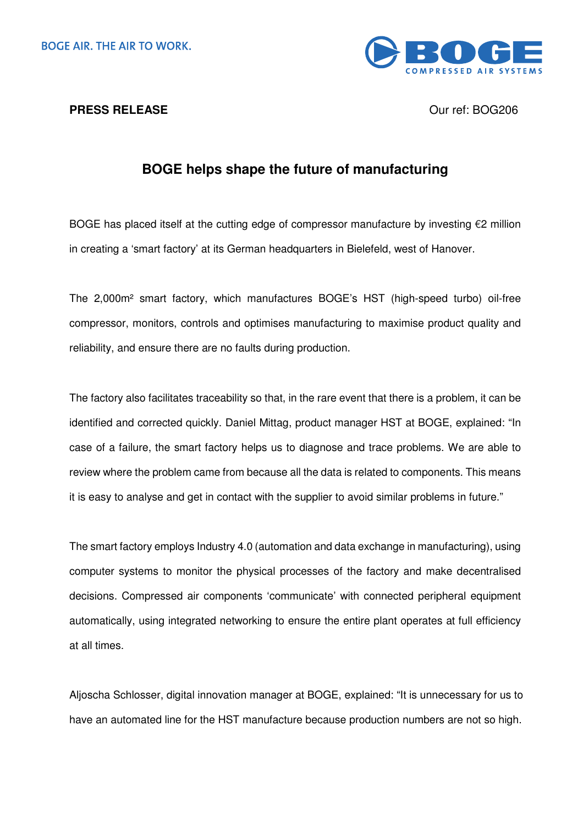



## **BOGE helps shape the future of manufacturing**

BOGE has placed itself at the cutting edge of compressor manufacture by investing €2 million in creating a 'smart factory' at its German headquarters in Bielefeld, west of Hanover.

The 2,000m² smart factory, which manufactures BOGE's HST (high-speed turbo) oil-free compressor, monitors, controls and optimises manufacturing to maximise product quality and reliability, and ensure there are no faults during production.

The factory also facilitates traceability so that, in the rare event that there is a problem, it can be identified and corrected quickly. Daniel Mittag, product manager HST at BOGE, explained: "In case of a failure, the smart factory helps us to diagnose and trace problems. We are able to review where the problem came from because all the data is related to components. This means it is easy to analyse and get in contact with the supplier to avoid similar problems in future."

The smart factory employs Industry 4.0 (automation and data exchange in manufacturing), using computer systems to monitor the physical processes of the factory and make decentralised decisions. Compressed air components 'communicate' with connected peripheral equipment automatically, using integrated networking to ensure the entire plant operates at full efficiency at all times.

Aljoscha Schlosser, digital innovation manager at BOGE, explained: "It is unnecessary for us to have an automated line for the HST manufacture because production numbers are not so high.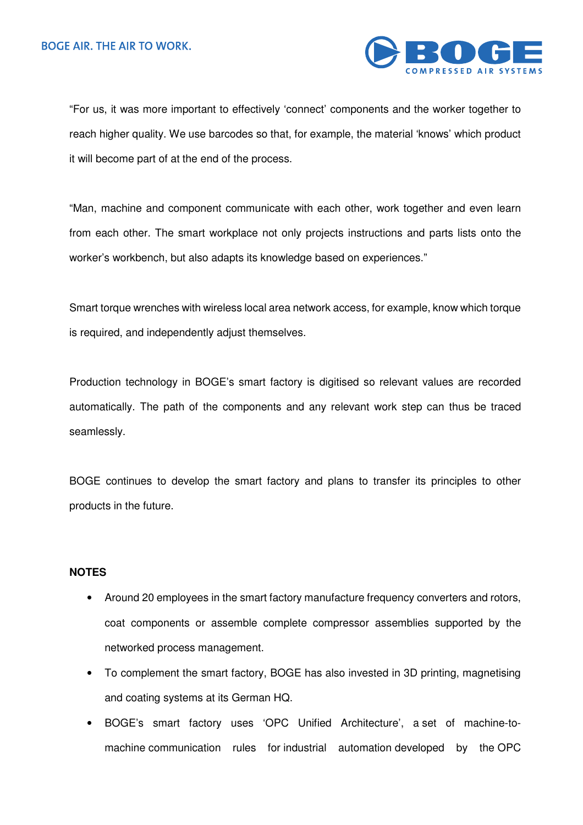

"For us, it was more important to effectively 'connect' components and the worker together to reach higher quality. We use barcodes so that, for example, the material 'knows' which product it will become part of at the end of the process.

"Man, machine and component communicate with each other, work together and even learn from each other. The smart workplace not only projects instructions and parts lists onto the worker's workbench, but also adapts its knowledge based on experiences."

Smart torque wrenches with wireless local area network access, for example, know which torque is required, and independently adjust themselves.

Production technology in BOGE's smart factory is digitised so relevant values are recorded automatically. The path of the components and any relevant work step can thus be traced seamlessly.

BOGE continues to develop the smart factory and plans to transfer its principles to other products in the future.

## **NOTES**

- Around 20 employees in the smart factory manufacture frequency converters and rotors, coat components or assemble complete compressor assemblies supported by the networked process management.
- To complement the smart factory, BOGE has also invested in 3D printing, magnetising and coating systems at its German HQ.
- BOGE's smart factory uses 'OPC Unified Architecture', a set of machine-tomachine communication rules for industrial automation developed by the OPC